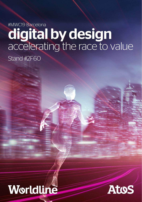# #MWC19 Barcelona digital by design accelerating the race to value Stand #2F60

# Worldline

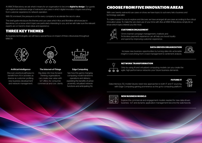At MWC19 Barcelona, we ask what it means for an organization to become **digital by design**. Our quests can explore an extensive range of real-world use cases in which digital innovation shapes everything from customer experience to network operation.

With 5G imminent, the pressure is on for every company to accelerate the race to value.

This brief guide introduces the themes and use cases which Atos and Worldline will showcase in Barcelona. Let us know which topics are particularly interesting to you, and we will make sure the relevant experts are on hand to share ideas and experience.

### THREE KEY THEMES

As business technologists, we will have a special focus on impact of three critical areas throughout MWC19:



Discover practical pathways to benefit from AI in activities as diverse as customer profiling, new business development and network management.

#### Artificial Intelligence The Internet-of-Things Edge Computing

Dig deep into how forwardthinking organizations can create new value with IoT offers, for consumer, commercial and civic clients.



See how this game-changing computing model transforms operations and delivery, exploiting the benefits of active proximity, virtualized network functions and anticipating 5G.

## CHOOSE FROM FIVE INNOVATION AREAS

With over twenty real-world use cases on show, we have topics to suit every telco business and technology specialist.

To make it easier for you to explore and discover, we have arranged all use-cases according to five critical innovation areas. To make the very best use of your time with Atos at MWC19 Barcelona, simply let us know which topics interest you the most.



### **CUSTOMER ENGAGEMENT**

Omni-channel campaign management, chatbots and frictionless payment experience can all help you boost loyalty and spend by improving customer experience.

#### **DATA-DRIVEN ORGANIZATION**

Increase new business opportunities by turning data into actionable insight in everything from crowd management to sentiment analysis.



#### **NETWORK TRANSFORMATION**

Only by using AI and virtualized computing models can you create the agile, high-performance networks your future business demands.

#### **FUTURE IT**

Data-intensive, 5G mobile futures need new approaches to both IT and IT sourcing, with Edge Computing gaining prominence as the go-to computing platform.

### $\odot$  $\circledcirc$

#### **NEW BUSINESS MODELS**

Explore the commercial and engagement models needed for new data-driven business - IoT and dynamic application management become the watchwords.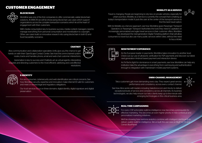## CUSTOMER ENGAGEMENT



### **BLOCKCHAIN**

Worldline was one of the first companies to offer commercially viable blockchain solutions. At MWC19 we will be showcasing blockchain use cases which support organizations across the complex transaction scenarios which lie at the heart of engagement with their customers.

With media consumption key to business success, media content managers need to manage everything from personal consumption and monetization to copyright. Other use cases build on innovative research into using blockchain in both ID and food traceability scenarios.

## **CHATBOT**

Atos communication and collaboration specialists Unify give you the chance to get hands on with their OpenScape Contact Center. See how this omni-channel system routes, tracks and handles phone, email and web-chat customer interactions.

Automation is key to success and Chatbots act as virtual agents, interpreting requests and directing customers to the most efficient, satisfying and cost-effective resolutions.



### **E-IDENTITY**

For any consumer, cybersecurity and web identification are critical concerns. See how Worldline security expertise and innovation make internet ID safe for customers and meet or exceed legal and regulatory obligations.

Our trust services focus on three domains: digital identity, digital signature and digital preservation.

### **MOBILITY AS A SERVICE**

Travel is changing. People are beginning to rely less on private vehicles, especially for urban journeys. Mobility as a Service is currently the concept that is shaking up today's transportation model. It puts the user at the center of the transport service to find the best travel option.

With its Mobility as a Service approach, see how Worldline gives Passenger Transport Operators or Passenger Transport Authorities the tools they need to capitalize on increasingly personalized and agile travel services in their customer offers. Worldline has developed the next-generation Digital Ticketing platform that will allow consumers to travel but also use many public services within cities, without the need to buy a ticket.



#### **NEW PAYMENT EXPERIENCE**

As the European leader in payments, Worldline takes innovation to another level. Check out our use of ultrasonic verification for P2P payments and discover our latest next-generation Android based payment and interaction device.

As FinTechs fight for dominance in smart payments, see how Worldline can help any institution take the advantage in everything from card-issuing and authentication through to integration with mainstream mobile payment systems.

#### **OMNI-CHANNEL MANAGEMENT**

Telco customers get more demanding every day. They expect great service, performance and consistency across every contact channel.



See how Atos works with leaders including Salesforce.com and Vlocity to deliver exceptional levels of service and consistency across all channels. As business technologists, we also help ensure our telco clients keep up to-the-minute with emerging technologies in this critical business area.



#### **REAL-TIME CAMPAIGNING**

For every CSP, actionable realtime intelligence now becomes a prerequisite for effective marketing. This becomes an even higher priority in new contextual and personalized marketing initiatives.

We'll be showing how real-time analytics combine with intelligent dashboards to deliver usable realtime intelligence. We've built this use case on BigIP by F5 and Ciena's BluePlanet.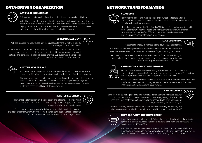## DATA-DRIVEN ORGANIZATION



#### **ARTIFICIAL INTELLIGENCE**

Telcos want near-immediate benefit and return from their analytics initiatives.

With this use case, discover how the Atos AI software suite accelerates adoption and return. With Atos Codex, we leverage machine learning to simplify both the build and deployment of AI applications across the telco resource, service and product layers, putting you on the fast-track to a genuinely data-driven business.



#### **CROWD MANAGEMENT**

With this use case we show telcos how to harvest customer and network data to create compelling B2B propositions.

With this invaluable data, telcos can create must-have services for retailers, transport providers, sports and cultural event organizers. Atos crowd analytics pinpoint patterns and behaviors –giving both telcos and their B2B customers the chance to engage subscribers with additional contextual services.



#### **CUSTOMER EXPERIENCE**

As business technologists with a specialist telco focus, Atos understands that the success for CSPs depends on maintaining the highest level of customer experience.

Find out more about our extended ecosystem of expertise and specialist partners in telco customer experience. Discover how our solutions span everything from prescriptive analytics at network level up to individual real-time interaction with customers based on artificial intelligence systems.



#### **REMOTE FIELD SERVICE**

Network operators still rely on the dedication and efficiency of their own and contracted-in field service teams. Atos was among the first to apply virtual and augmented reality for field service apps.

This use case shows how productivity rises in your field service teams, once engineers are empowered with virtual over-the-shoulder guidance, instant access to technical and service data, and enhanced reporting functions.

## NETWORK TRANSFORMATION



### **CLOUD WAN**

Today's distributed IT and hybrid cloud architectures need secure and agile communications. Only a software-defined WAN delivers the required combination of security, agility and performance.

This solution showcases the Atos Cloud WAN. Built on Cisco technology, it benefits from Atos extensive network design and management expertise. As a carrierindependent network, it offers CSPs and their enterprise clients an ideal communications platform for cloud or IoT services.

#### **EDGE COMPUTING**

Telcos must be ready to manage a data deluge in 5G applications.



This will require computing power on an unprecedented scale. Atos is fully prepared to deliver the necessary resource through its Multi-Access Edge Computing Data Centers.

See how this power is even further enhanced by the Atos Codex AI Suite. Using AI, we are able to dynamically orchestrate your computing resources, ensuring you always have the power you need when you need it.



#### **CRITICAL COMMUNICATION NETWORKS**

Private LTE and 5G are already becoming the preferred approach for critical communications, industrial IoT, enterprise, campus and public venues. These private LTE enterprise networks also give enterprises a jump start to 5G.

Atos Critical Communication Networks are built on our LTE portfolio. They allow CSPs to offer secure services which integrate vast and variable data streams from sensors, machines, people, drones, cameras or vehicles.

#### **CYBERSECURITY**



Security must be managed end-to-end. Atos provides on-demand managed security for both traditional connected use and for the rapidly-growing IoT. We provide encryption services for applications, virtual machines and databases and manage the complete security certificate lifecycle.

With this use case, we give a taste of the overall Atos cybersecurity proposition, with special emphasis on the embedded security so essential to the safe growth of the IoT.



#### **NETWORK FUNCTION VIRTUALIZATION**

For a digital-by-design telco, only NFV offers the affordable network agility which is central to sustainable success. Atos offers both the technology and services telcos need to deploy NFV and SDN.

With this use case, we pay particular attention to dealing with accelerated change: cloudification, for example, is a real game-changer right now. Explore the best way to build a foundation for affordable and responsive next generation networks.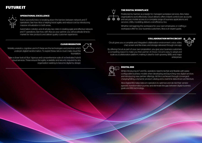### FUTURE IT

#### **OPERATIONAL EXCELLENCE**

Every successful telco is breaking down the barriers between network and IT operations. See how Atos is helping boost agility and reduce cost by introducing massive virtualization in both areas.

Automation, robotics and AI all play key roles in creating agile and effective network and IT operations. See how, with Atos as your partner, you will accelerate time-tomarket for new products and deliver quality customer experience.

**CLOUD MIGRATION**



#### **THE DIGITAL WORKPLACE**

Positioned by Gartner as a leader for managed workplace services, Atos helps organizations work effectively. Cloud delivery offers instant control over accounts and secures mobile access to a complete range of business applications and services. Utility modelling delivers cost-efficiency too.

Whether reimagining the workspace for your own employees, or crafting a workspace offer for your business customers, Atos is an expert guide.

#### **COLLABORATION WITH CIRCUIT**

Circuit gives you a complete and integrated collaboration environment: voice, video, chat, screen and file-share, and storage delivered through one app.

By offering Circuit as part of your own proposition, you give your business customers a compelling reason to make you their partner of choice. Circuit is easy to adopt and scale as a collaboration platform, making it ideal for both growing SMEs and major enterprises.



### **DIGITAL BSS**

While introducing IoT and 5G, operators need to be fast and flexible with easily configurable business models when developing and launching new digital services and introducing new partner offerings. All this is achieved through convergent charging/billing, a dynamic product catalog and a real-time data-driven architecture.

Atos Digital BSS helps telecom operators to optimize and de-risk their vendoragnostic transformation journey and eliminate the gap between digital business goals and BSS technology.



Take a closer look at Atos' rigorous and comprehensive suite of orchestrated hybrid cloud services. These ensure the agility, scalability and security required by any organization seeking to become digital by design.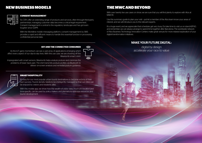### NEW BUSINESS MODELS



#### **CONSENT MANAGEMENT**

As CSPs offer an extending range of products and services, often through third-party partnerships, managing customer data becomes a critical legal requirement. Consent management is central to the regulatory landscape and has got even tougher since GDPR.

With the Worldline mobile messaging platform, consent management by SMS provides a rapid and efficient means to handle this essential function in processing confidential personal data.

## **IOT AND THE CONNECTED CONSUMER**



As the IoT gains momentum, we see a vast array of applications emerging which affect every aspect of our day-to-day lives. With this use case, we are showing off the

Impregnated with smart sensors, Wearlumb helps analyze posture and minimize the problems of lower back pain. The shirt transmits posture profiles via Bluetooth to deliver on-screen analysis and remedial posture guidance.



### **SMART HOSPITALITY**

It's easy for our most popular urban tourist destinations to become victims of their own success. Tourist density needs to be intelligently managed so that our cities can be enjoyed by visitors and residents alike.

With this mobile app, we show how the wealth of visitor data, much of it location and time-specific, can be used by policy makers and planners to optimize resources and tourist development.

## THE MWC AND BEYOND

With over twenty live use cases on show, we are sure that you will find plenty to explore with Atos at MWC19.

Use this summary guide to plan your visit – just let a member of the Atos team know your areas of interest, and we will introduce you to the relevant experts.

It's a huge event, and we appreciate that schedules get very busy. Do take time to visit us on stand #2F60, and remember, we can always arrange to spend time together after Barcelona. The worldwide network of Atos Business Technology Innovation Centers make great venues for more relaxed exploration of your digital transformation initiatives.

### MAKE YOUR FUTURE DIGITAL:

digital by design accelerate your race to value